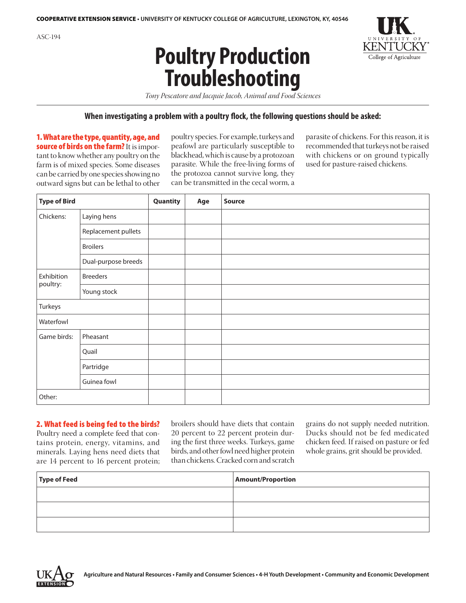



*Tony Pescatore and Jacquie Jacob, Animal and Food Sciences*

#### **When investigating a problem with a poultry flock, the following questions should be asked:**

1. What are the type, quantity, age, and source of birds on the farm? It is important to know whether any poultry on the farm is of mixed species. Some diseases can be carried by one species showing no outward signs but can be lethal to other

poultry species. For example, turkeys and peafowl are particularly susceptible to blackhead, which is cause by a protozoan parasite. While the free-living forms of the protozoa cannot survive long, they can be transmitted in the cecal worm, a parasite of chickens. For this reason, it is recommended that turkeys not be raised with chickens or on ground typically used for pasture-raised chickens.

| <b>Type of Bird</b> |                     | Quantity | Age | Source |
|---------------------|---------------------|----------|-----|--------|
| Chickens:           | Laying hens         |          |     |        |
|                     | Replacement pullets |          |     |        |
|                     | <b>Broilers</b>     |          |     |        |
|                     | Dual-purpose breeds |          |     |        |
| Exhibition          | <b>Breeders</b>     |          |     |        |
| poultry:            | Young stock         |          |     |        |
| Turkeys             |                     |          |     |        |
| Waterfowl           |                     |          |     |        |
| Game birds:         | Pheasant            |          |     |        |
|                     | Quail               |          |     |        |
|                     | Partridge           |          |     |        |
|                     | Guinea fowl         |          |     |        |
| Other:              |                     |          |     |        |

#### 2. What feed is being fed to the birds?

Poultry need a complete feed that contains protein, energy, vitamins, and minerals. Laying hens need diets that are 14 percent to 16 percent protein; broilers should have diets that contain 20 percent to 22 percent protein during the first three weeks. Turkeys, game birds, and other fowl need higher protein than chickens. Cracked corn and scratch grains do not supply needed nutrition. Ducks should not be fed medicated chicken feed. If raised on pasture or fed whole grains, grit should be provided.

| Type of Feed | <b>Amount/Proportion</b> |
|--------------|--------------------------|
|              |                          |
|              |                          |
|              |                          |

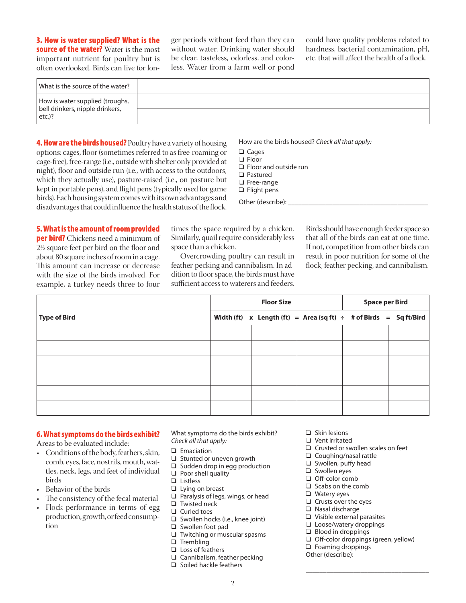3. How is water supplied? What is the source of the water? Water is the most important nutrient for poultry but is often overlooked. Birds can live for longer periods without feed than they can without water. Drinking water should be clear, tasteless, odorless, and colorless. Water from a farm well or pond could have quality problems related to hardness, bacterial contamination, pH, etc. that will affect the health of a flock.

| What is the source of the water?                                   |  |
|--------------------------------------------------------------------|--|
| How is water supplied (troughs,<br>bell drinkers, nipple drinkers, |  |
| $etc.$ )?                                                          |  |

**4. How are the birds housed?** Poultry have a variety of housing options: cages, floor (sometimes referred to as free-roaming or cage-free), free-range (i.e., outside with shelter only provided at night), floor and outside run (i.e., with access to the outdoors, which they actually use), pasture-raised (i.e., on pasture but kept in portable pens), and flight pens (typically used for game birds). Each housing system comes with its own advantages and disadvantages that could influence the health status of the flock.

How are the birds housed? *Check all that apply:* 

- **Q** Cages
- $\Box$  Floor
- $\Box$  Floor and outside run
- □ Pastured
- $\Box$  Free-range  $\Box$  Flight pens
- Other (describe):

5. What is the amount of room provided **per bird?** Chickens need a minimum of 2½ square feet per bird on the floor and about 80 square inches of room in a cage. This amount can increase or decrease with the size of the birds involved. For example, a turkey needs three to four

times the space required by a chicken. Similarly, quail require considerably less space than a chicken.

Overcrowding poultry can result in feather-pecking and cannibalism. In addition to floor space, the birds must have sufficient access to waterers and feeders. Birds should have enough feeder space so that all of the birds can eat at one time. If not, competition from other birds can result in poor nutrition for some of the flock, feather pecking, and cannibalism.

|              | <b>Floor Size</b> |                                                                        |  | <b>Space per Bird</b> |  |
|--------------|-------------------|------------------------------------------------------------------------|--|-----------------------|--|
| Type of Bird |                   | Width (ft) x Length (ft) = Area (sq ft) $\div$ # of Birds = Sq ft/Bird |  |                       |  |
|              |                   |                                                                        |  |                       |  |
|              |                   |                                                                        |  |                       |  |
|              |                   |                                                                        |  |                       |  |
|              |                   |                                                                        |  |                       |  |
|              |                   |                                                                        |  |                       |  |
|              |                   |                                                                        |  |                       |  |

### 6. What symptoms do the birds exhibit?

Areas to be evaluated include:

- Conditions of the body, feathers, skin, comb, eyes, face, nostrils, mouth, wattles, neck, legs, and feet of individual birds
- • Behavior of the birds
- The consistency of the fecal material
- Flock performance in terms of egg production, growth, or feed consumption

What symptoms do the birds exhibit? *Check all that apply:*

- $\Box$  Emaciation
- $\Box$  Stunted or uneven growth
- $\Box$  Sudden drop in egg production
- $\Box$  Poor shell quality
- **Q** Listless
- $\Box$  Lying on breast
- $\Box$  Paralysis of legs, wings, or head
- $\Box$  Twisted neck
- $\Box$  Curled toes
- $\Box$  Swollen hocks (i.e., knee joint)  $\Box$  Swollen foot pad
- $\Box$  Twitching or muscular spasms
- $\Box$  Trembling
- $\Box$  Loss of feathers
- $\Box$  Cannibalism, feather pecking
- $\Box$  Soiled hackle feathers
- $\Box$  Skin lesions
- $\Box$  Vent irritated
- $\Box$  Crusted or swollen scales on feet
- $\Box$  Coughing/nasal rattle
- $\Box$  Swollen, puffy head
- **q** Swollen eyes
- $\Box$  Off-color comb
- $\Box$  Scabs on the comb
- $\Box$  Watery eyes
- $\Box$  Crusts over the eyes
- $\Box$  Nasal discharge
- $\Box$  Visible external parasites  $\Box$  Loose/watery droppings
- $\Box$  Blood in droppings
- 
- $\Box$  Off-color droppings (green, yellow)  $\Box$  Foaming droppings

\_\_\_\_\_\_\_\_\_\_\_\_\_\_\_\_\_\_\_\_\_\_\_\_\_\_\_\_\_\_\_\_\_\_\_\_

Other (describe):

2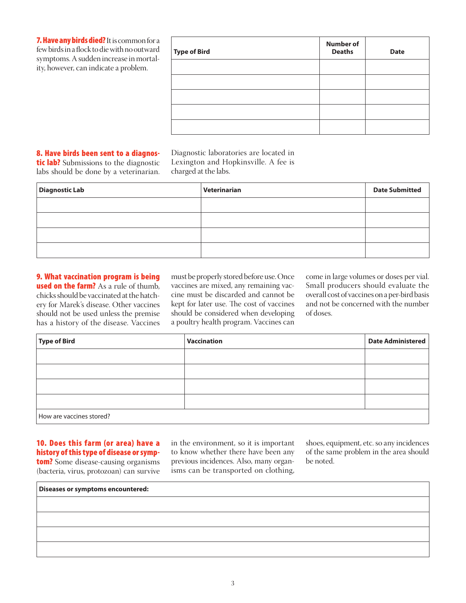7. Have any birds died? It is common for a few birds in a flock to die with no outward symptoms. A sudden increase in mortality, however, can indicate a problem.

| <b>Type of Bird</b> | <b>Number of</b><br><b>Deaths</b> | <b>Date</b> |
|---------------------|-----------------------------------|-------------|
|                     |                                   |             |
|                     |                                   |             |
|                     |                                   |             |
|                     |                                   |             |
|                     |                                   |             |

# 8. Have birds been sent to a diagnos-

tic lab? Submissions to the diagnostic labs should be done by a veterinarian. Diagnostic laboratories are located in Lexington and Hopkinsville. A fee is charged at the labs.

| <b>Diagnostic Lab</b> | Veterinarian | <b>Date Submitted</b> |
|-----------------------|--------------|-----------------------|
|                       |              |                       |
|                       |              |                       |
|                       |              |                       |
|                       |              |                       |

# 9. What vaccination program is being **used on the farm?** As a rule of thumb. chicks should be vaccinated at the hatchery for Marek's disease. Other vaccines should not be used unless the premise has a history of the disease. Vaccines

must be properly stored before use. Once vaccines are mixed, any remaining vaccine must be discarded and cannot be kept for later use. The cost of vaccines should be considered when developing a poultry health program. Vaccines can

come in large volumes or doses per vial. Small producers should evaluate the overall cost of vaccines on a per-bird basis and not be concerned with the number of doses.

| Type of Bird             | <b>Vaccination</b> | <b>Date Administered</b> |  |
|--------------------------|--------------------|--------------------------|--|
|                          |                    |                          |  |
|                          |                    |                          |  |
|                          |                    |                          |  |
|                          |                    |                          |  |
| How are vaccines stored? |                    |                          |  |

## 10. Does this farm (or area) have a history of this type of disease or symptom? Some disease-causing organisms (bacteria, virus, protozoan) can survive

in the environment, so it is important to know whether there have been any previous incidences. Also, many organisms can be transported on clothing,

shoes, equipment, etc. so any incidences of the same problem in the area should be noted.

**Diseases or symptoms encountered:**